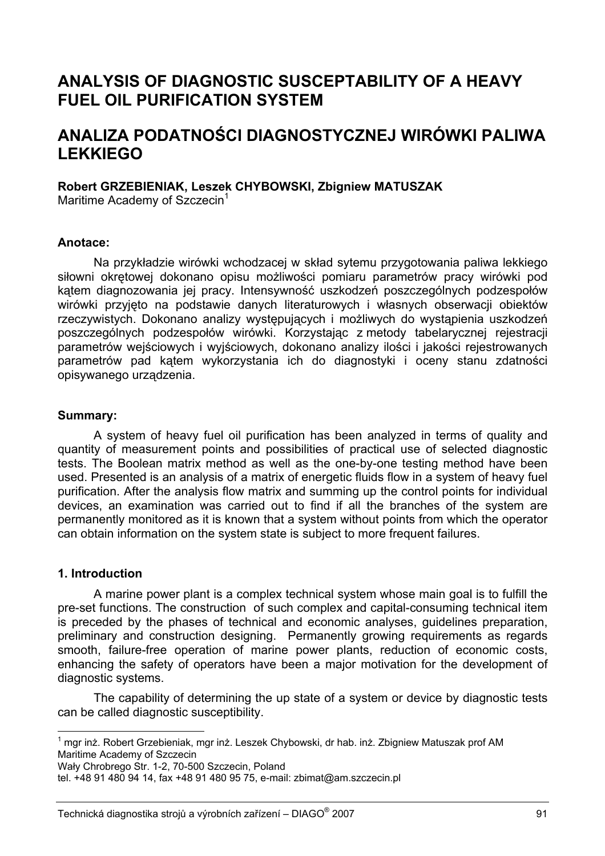# **ANALYSIS OF DIAGNOSTIC SUSCEPTABILITY OF A HEAVY FUEL OIL PURIFICATION SYSTEM**

# **ANALIZA PODATNOŚCI DIAGNOSTYCZNEJ WIRÓWKI PALIWA LEKKIEGO**

#### **Robert GRZEBIENIAK, Leszek CHYBOWSKI, Zbigniew MATUSZAK**

Maritime Academy of Szczecin<sup>1</sup>

#### **Anotace:**

Na przykładzie wirówki wchodzacej w skład sytemu przygotowania paliwa lekkiego siłowni okrętowej dokonano opisu możliwości pomiaru parametrów pracy wirówki pod kątem diagnozowania jej pracy. Intensywność uszkodzeń poszczególnych podzespołów wirówki przyjęto na podstawie danych literaturowych i własnych obserwacji obiektów rzeczywistych. Dokonano analizy występujących i możliwych do wystąpienia uszkodzeń poszczególnych podzespołów wirówki. Korzystając z metody tabelarycznej rejestracji parametrów wejściowych i wyjściowych, dokonano analizy ilości i jakości rejestrowanych parametrów pad kątem wykorzystania ich do diagnostyki i oceny stanu zdatności opisywanego urządzenia.

#### **Summary:**

A system of heavy fuel oil purification has been analyzed in terms of quality and quantity of measurement points and possibilities of practical use of selected diagnostic tests. The Boolean matrix method as well as the one-by-one testing method have been used. Presented is an analysis of a matrix of energetic fluids flow in a system of heavy fuel purification. After the analysis flow matrix and summing up the control points for individual devices, an examination was carried out to find if all the branches of the system are permanently monitored as it is known that a system without points from which the operator can obtain information on the system state is subject to more frequent failures.

## **1. Introduction**

l

A marine power plant is a complex technical system whose main goal is to fulfill the pre-set functions. The construction of such complex and capital-consuming technical item is preceded by the phases of technical and economic analyses, guidelines preparation, preliminary and construction designing. Permanently growing requirements as regards smooth, failure-free operation of marine power plants, reduction of economic costs, enhancing the safety of operators have been a major motivation for the development of diagnostic systems.

The capability of determining the up state of a system or device by diagnostic tests can be called diagnostic susceptibility.

Wały Chrobrego Str. 1-2, 70-500 Szczecin, Poland

<sup>&</sup>lt;sup>1</sup> mgr inż. Robert Grzebieniak, mgr inż. Leszek Chybowski, dr hab. inż. Zbigniew Matuszak prof AM Maritime Academy of Szczecin

tel. +48 91 480 94 14, fax +48 91 480 95 75, e-mail: zbimat@am.szczecin.pl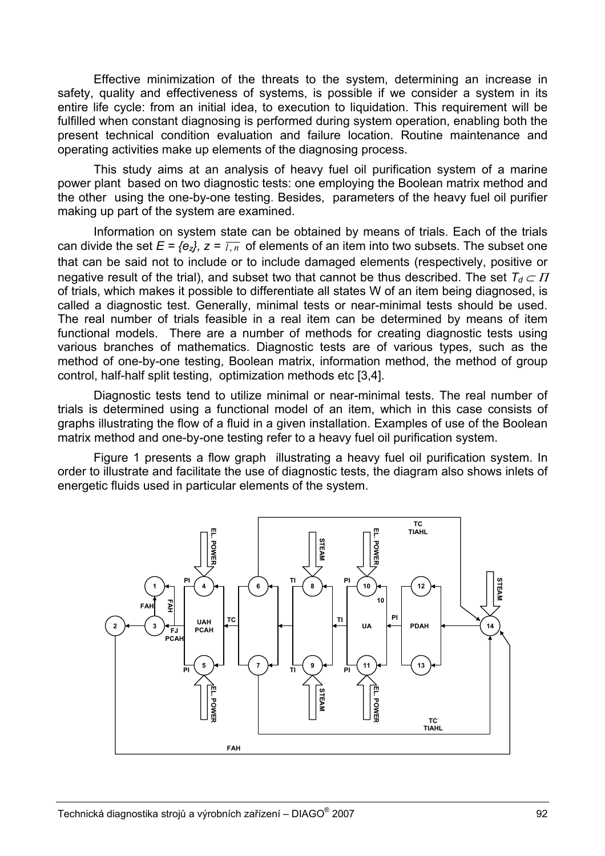Effective minimization of the threats to the system, determining an increase in safety, quality and effectiveness of systems, is possible if we consider a system in its entire life cycle: from an initial idea, to execution to liquidation. This requirement will be fulfilled when constant diagnosing is performed during system operation, enabling both the present technical condition evaluation and failure location. Routine maintenance and operating activities make up elements of the diagnosing process.

This study aims at an analysis of heavy fuel oil purification system of a marine power plant based on two diagnostic tests: one employing the Boolean matrix method and the other using the one-by-one testing. Besides, parameters of the heavy fuel oil purifier making up part of the system are examined.

Information on system state can be obtained by means of trials. Each of the trials can divide the set  $E = \{e_z\}$ ,  $z = \overline{l,n}$  of elements of an item into two subsets. The subset one that can be said not to include or to include damaged elements (respectively, positive or negative result of the trial), and subset two that cannot be thus described. The set  $T_d \subset \Pi$ of trials, which makes it possible to differentiate all states W of an item being diagnosed, is called a diagnostic test. Generally, minimal tests or near-minimal tests should be used. The real number of trials feasible in a real item can be determined by means of item functional models. There are a number of methods for creating diagnostic tests using various branches of mathematics. Diagnostic tests are of various types, such as the method of one-by-one testing, Boolean matrix, information method, the method of group control, half-half split testing, optimization methods etc [3,4].

Diagnostic tests tend to utilize minimal or near-minimal tests. The real number of trials is determined using a functional model of an item, which in this case consists of graphs illustrating the flow of a fluid in a given installation. Examples of use of the Boolean matrix method and one-by-one testing refer to a heavy fuel oil purification system.

Figure 1 presents a flow graph illustrating a heavy fuel oil purification system. In order to illustrate and facilitate the use of diagnostic tests, the diagram also shows inlets of energetic fluids used in particular elements of the system.

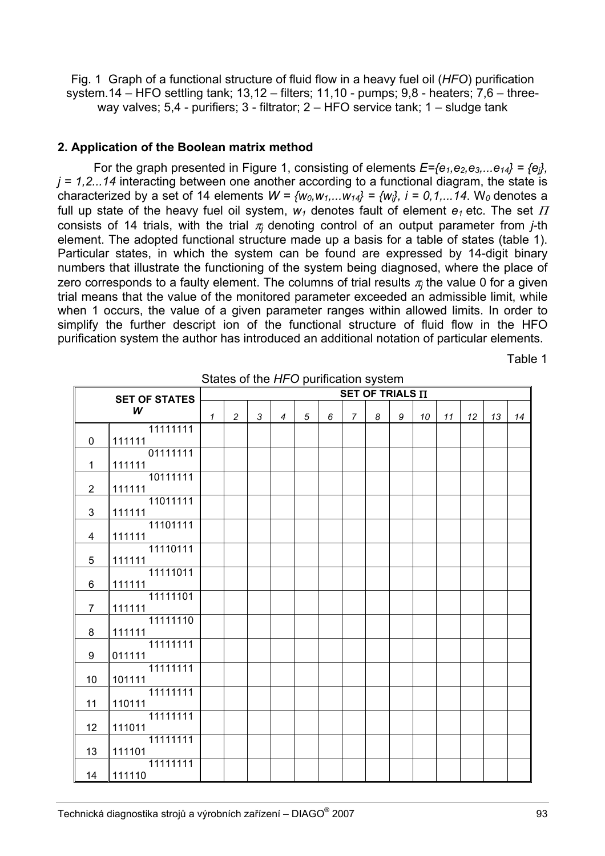Fig. 1 Graph of a functional structure of fluid flow in a heavy fuel oil (*HFO*) purification system.14 – HFO settling tank; 13,12 – filters; 11,10 - pumps; 9,8 - heaters; 7,6 – threeway valves; 5,4 - purifiers; 3 - filtrator; 2 – HFO service tank; 1 – sludge tank

## **2. Application of the Boolean matrix method**

For the graph presented in Figure 1, consisting of elements  $E=f\epsilon_1,\epsilon_2,\epsilon_3,...\epsilon_{14}$  =  $\{\epsilon_i\}$ . *j = 1,2...14* interacting between one another according to a functional diagram, the state is characterized by a set of 14 elements  $W = \{w_0, w_1, \ldots, w_{14}\} = \{w_i\}$ ,  $i = 0, 1, \ldots, 14$ . W<sub>0</sub> denotes a full up state of the heavy fuel oil system,  $w_1$  denotes fault of element  $e_1$  etc. The set  $\Pi$ consists of 14 trials, with the trial  $\pi$  denoting control of an output parameter from *j*-th element. The adopted functional structure made up a basis for a table of states (table 1). Particular states, in which the system can be found are expressed by 14-digit binary numbers that illustrate the functioning of the system being diagnosed, where the place of zero corresponds to a faulty element. The columns of trial results  $\pi_i$  the value 0 for a given trial means that the value of the monitored parameter exceeded an admissible limit, while when 1 occurs, the value of a given parameter ranges within allowed limits. In order to simplify the further descript ion of the functional structure of fluid flow in the HFO purification system the author has introduced an additional notation of particular elements.

Table 1

| <b>SET OF STATES</b> |                    | SET OF TRIALS II |                |   |                |   |   |                |   |   |    |    |    |    |    |
|----------------------|--------------------|------------------|----------------|---|----------------|---|---|----------------|---|---|----|----|----|----|----|
| W                    |                    |                  | $\overline{c}$ | 3 | $\overline{4}$ | 5 | 6 | $\overline{7}$ | 8 | 9 | 10 | 11 | 12 | 13 | 14 |
| 0                    | 11111111<br>111111 |                  |                |   |                |   |   |                |   |   |    |    |    |    |    |
| 1                    | 01111111<br>111111 |                  |                |   |                |   |   |                |   |   |    |    |    |    |    |
| $\overline{2}$       | 10111111<br>111111 |                  |                |   |                |   |   |                |   |   |    |    |    |    |    |
| 3                    | 11011111<br>111111 |                  |                |   |                |   |   |                |   |   |    |    |    |    |    |
| 4                    | 11101111<br>111111 |                  |                |   |                |   |   |                |   |   |    |    |    |    |    |
| 5                    | 11110111<br>111111 |                  |                |   |                |   |   |                |   |   |    |    |    |    |    |
| 6                    | 11111011<br>111111 |                  |                |   |                |   |   |                |   |   |    |    |    |    |    |
| $\overline{7}$       | 11111101           |                  |                |   |                |   |   |                |   |   |    |    |    |    |    |
|                      | 111111<br>11111110 |                  |                |   |                |   |   |                |   |   |    |    |    |    |    |
| 8                    | 111111<br>11111111 |                  |                |   |                |   |   |                |   |   |    |    |    |    |    |
| 9                    | 011111<br>11111111 |                  |                |   |                |   |   |                |   |   |    |    |    |    |    |
| 10                   | 101111<br>11111111 |                  |                |   |                |   |   |                |   |   |    |    |    |    |    |
| 11                   | 110111<br>11111111 |                  |                |   |                |   |   |                |   |   |    |    |    |    |    |
| 12                   | 111011<br>11111111 |                  |                |   |                |   |   |                |   |   |    |    |    |    |    |
| 13                   | 111101             |                  |                |   |                |   |   |                |   |   |    |    |    |    |    |
| 14                   | 11111111<br>111110 |                  |                |   |                |   |   |                |   |   |    |    |    |    |    |

States of the *HFO* purification system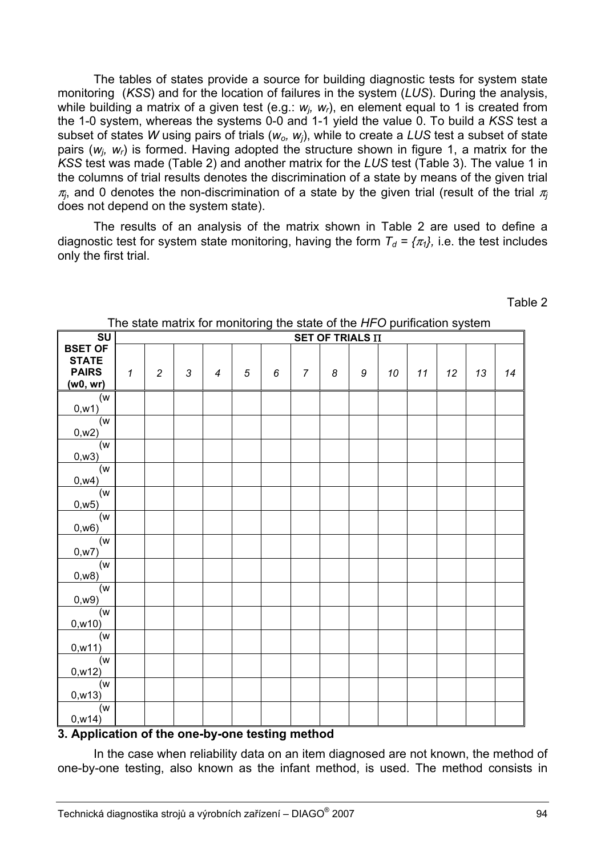The tables of states provide a source for building diagnostic tests for system state monitoring (*KSS*) and for the location of failures in the system (*LUS*). During the analysis, while building a matrix of a given test (e.g.: *w<sub>i</sub>*, *w<sub>i</sub>*), en element equal to 1 is created from the 1-0 system, whereas the systems 0-0 and 1-1 yield the value 0. To build a *KSS* test a subset of states *W* using pairs of trials ( $w_0$ ,  $w_i$ ), while to create a LUS test a subset of state pairs (*wj, wr*) is formed. Having adopted the structure shown in figure 1, a matrix for the *KSS* test was made (Table 2) and another matrix for the *LUS* test (Table 3). The value 1 in the columns of trial results denotes the discrimination of a state by means of the given trial  $\pi$ <sub>*j*</sub>, and 0 denotes the non-discrimination of a state by the given trial (result of the trial  $\pi$ <sup>*j*</sup> does not depend on the system state).

The results of an analysis of the matrix shown in Table 2 are used to define a diagnostic test for system state monitoring, having the form  $T_d = \{ \pi_i \}$ , i.e. the test includes only the first trial.

|                   | The state matrix for monitoring the state of the <i>TH</i> O pumication system |                |                |                |                                 |   |                |                  |   |    |    |    |    |    |
|-------------------|--------------------------------------------------------------------------------|----------------|----------------|----------------|---------------------------------|---|----------------|------------------|---|----|----|----|----|----|
| SU                | SET OF TRIALS II                                                               |                |                |                |                                 |   |                |                  |   |    |    |    |    |    |
| <b>BSET OF</b>    |                                                                                |                |                |                |                                 |   |                |                  |   |    |    |    |    |    |
| <b>STATE</b>      |                                                                                |                |                |                |                                 |   |                |                  |   |    |    |    |    |    |
| <b>PAIRS</b>      | $\mathbf{1}$                                                                   | $\overline{c}$ | $\mathfrak{Z}$ | $\overline{4}$ | 5                               | 6 | $\overline{7}$ | $\boldsymbol{8}$ | 9 | 10 | 11 | 12 | 13 | 14 |
| (w0, wr)          |                                                                                |                |                |                |                                 |   |                |                  |   |    |    |    |    |    |
| (w                |                                                                                |                |                |                |                                 |   |                |                  |   |    |    |    |    |    |
| 0,w1)             |                                                                                |                |                |                |                                 |   |                |                  |   |    |    |    |    |    |
| (w                |                                                                                |                |                |                |                                 |   |                |                  |   |    |    |    |    |    |
| 0, w2)            |                                                                                |                |                |                |                                 |   |                |                  |   |    |    |    |    |    |
| (w                |                                                                                |                |                |                |                                 |   |                |                  |   |    |    |    |    |    |
| 0, w3)            |                                                                                |                |                |                |                                 |   |                |                  |   |    |    |    |    |    |
| (w                |                                                                                |                |                |                |                                 |   |                |                  |   |    |    |    |    |    |
| 0, w4)            |                                                                                |                |                |                |                                 |   |                |                  |   |    |    |    |    |    |
| (w <sub>1</sub> ) |                                                                                |                |                |                |                                 |   |                |                  |   |    |    |    |    |    |
| 0, w5)            |                                                                                |                |                |                |                                 |   |                |                  |   |    |    |    |    |    |
| (w <sub>1</sub> ) |                                                                                |                |                |                |                                 |   |                |                  |   |    |    |    |    |    |
| 0,w6)             |                                                                                |                |                |                |                                 |   |                |                  |   |    |    |    |    |    |
| (w)               |                                                                                |                |                |                |                                 |   |                |                  |   |    |    |    |    |    |
| 0, w7)            |                                                                                |                |                |                |                                 |   |                |                  |   |    |    |    |    |    |
| (w                |                                                                                |                |                |                |                                 |   |                |                  |   |    |    |    |    |    |
| 0, w8)            |                                                                                |                |                |                |                                 |   |                |                  |   |    |    |    |    |    |
| (w <sub>0</sub> ) |                                                                                |                |                |                |                                 |   |                |                  |   |    |    |    |    |    |
| 0, w9)            |                                                                                |                |                |                |                                 |   |                |                  |   |    |    |    |    |    |
| (w                |                                                                                |                |                |                |                                 |   |                |                  |   |    |    |    |    |    |
| 0, w10)           |                                                                                |                |                |                |                                 |   |                |                  |   |    |    |    |    |    |
| (w                |                                                                                |                |                |                |                                 |   |                |                  |   |    |    |    |    |    |
| 0, w11)           |                                                                                |                |                |                |                                 |   |                |                  |   |    |    |    |    |    |
| (w                |                                                                                |                |                |                |                                 |   |                |                  |   |    |    |    |    |    |
| 0, w12)           |                                                                                |                |                |                |                                 |   |                |                  |   |    |    |    |    |    |
| (w)               |                                                                                |                |                |                |                                 |   |                |                  |   |    |    |    |    |    |
| 0, w13)           |                                                                                |                |                |                |                                 |   |                |                  |   |    |    |    |    |    |
| (w                |                                                                                |                |                |                |                                 |   |                |                  |   |    |    |    |    |    |
| 0, w14)           |                                                                                |                |                |                |                                 |   |                |                  |   |    |    |    |    |    |
| . .               | $\mathbf{r}$ and $\mathbf{r}$ and $\mathbf{r}$ and $\mathbf{r}$                |                |                | <b>ALC</b>     | <b>Contract Contract Street</b> |   |                |                  |   |    |    |    |    |    |

The state matrix for monitoring the state of the *HFO* purification system

## **3. Application of the one-by-one testing method**

In the case when reliability data on an item diagnosed are not known, the method of one-by-one testing, also known as the infant method, is used. The method consists in

Table 2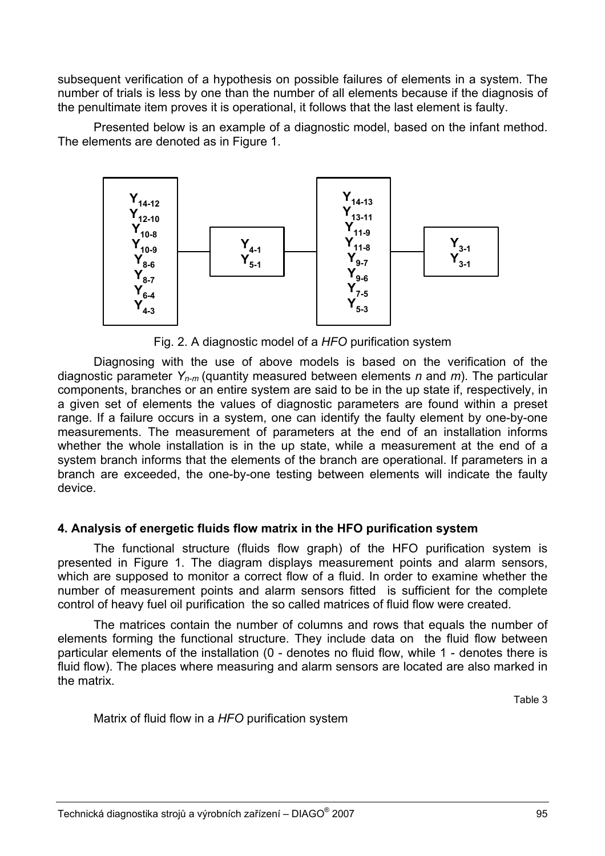subsequent verification of a hypothesis on possible failures of elements in a system. The number of trials is less by one than the number of all elements because if the diagnosis of the penultimate item proves it is operational, it follows that the last element is faulty.

Presented below is an example of a diagnostic model, based on the infant method. The elements are denoted as in Figure 1.



Fig. 2. A diagnostic model of a *HFO* purification system

Diagnosing with the use of above models is based on the verification of the diagnostic parameter *Yn-m* (quantity measured between elements *n* and *m*). The particular components, branches or an entire system are said to be in the up state if, respectively, in a given set of elements the values of diagnostic parameters are found within a preset range. If a failure occurs in a system, one can identify the faulty element by one-by-one measurements. The measurement of parameters at the end of an installation informs whether the whole installation is in the up state, while a measurement at the end of a system branch informs that the elements of the branch are operational. If parameters in a branch are exceeded, the one-by-one testing between elements will indicate the faulty device.

# **4. Analysis of energetic fluids flow matrix in the HFO purification system**

The functional structure (fluids flow graph) of the HFO purification system is presented in Figure 1. The diagram displays measurement points and alarm sensors, which are supposed to monitor a correct flow of a fluid. In order to examine whether the number of measurement points and alarm sensors fitted is sufficient for the complete control of heavy fuel oil purification the so called matrices of fluid flow were created.

The matrices contain the number of columns and rows that equals the number of elements forming the functional structure. They include data on the fluid flow between particular elements of the installation (0 - denotes no fluid flow, while 1 - denotes there is fluid flow). The places where measuring and alarm sensors are located are also marked in the matrix.

Table 3

Matrix of fluid flow in a *HFO* purification system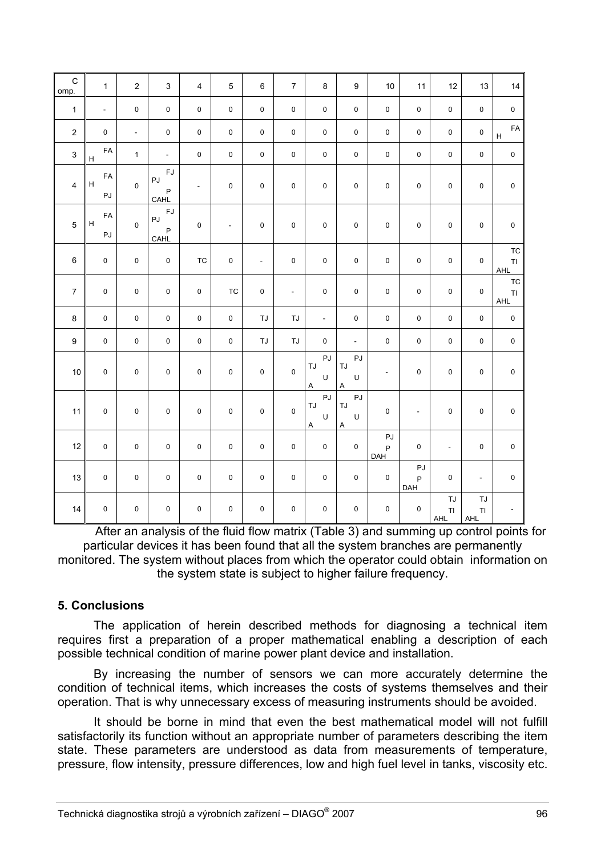| $\mathsf{C}$<br>omp. | $\mathbf{1}$  | $\overline{2}$ | 3                                                           | $\overline{4}$      | $\overline{5}$ | 6           | $\overline{7}$ | $\bf 8$                      | 9                         | $10$                      | 11                       | 12              | 13                                | 14                                       |
|----------------------|---------------|----------------|-------------------------------------------------------------|---------------------|----------------|-------------|----------------|------------------------------|---------------------------|---------------------------|--------------------------|-----------------|-----------------------------------|------------------------------------------|
| $\mathbf{1}$         | $\omega$      | $\mathbf 0$    | $\mathbf 0$                                                 | $\mathbf 0$         | 0              | $\mathbf 0$ | $\mathbf 0$    | $\mathbf 0$                  | $\mathbf 0$               | $\pmb{0}$                 | $\mathbf 0$              | $\mathbf 0$     | $\mathsf 0$                       | $\mathsf 0$                              |
| $\overline{2}$       | 0             | $\mathbb{Z}^2$ | $\pmb{0}$                                                   | $\mathsf 0$         | $\mathsf 0$    | $\pmb{0}$   | $\mathsf 0$    | $\mathsf 0$                  | $\mathsf 0$               | $\pmb{0}$                 | $\mathsf 0$              | $\mathsf 0$     | $\mathsf 0$                       | FA<br>$\boldsymbol{\mathsf{H}}$          |
| 3                    | FA<br>$\sf H$ | $\mathbf{1}$   | $\mathbb{L}^+$                                              | $\mathbf 0$         | 0              | $\pmb{0}$   | $\mathsf 0$    | $\mathsf 0$                  | $\mathsf 0$               | $\pmb{0}$                 | $\pmb{0}$                | $\mathsf 0$     | $\pmb{0}$                         | $\pmb{0}$                                |
| $\overline{4}$       | FA<br>H<br>PJ | $\mathbf 0$    | <b>FJ</b><br>$\mathsf{P}\mathsf{J}$<br>$\mathsf{P}$<br>CAHL | $\blacksquare$      | 0              | $\pmb{0}$   | $\pmb{0}$      | $\mathsf 0$                  | $\mathsf{O}\xspace$       | $\pmb{0}$                 | 0                        | $\pmb{0}$       | $\mathsf{O}\xspace$               | $\pmb{0}$                                |
| $\overline{5}$       | FA<br>H<br>PJ | $\pmb{0}$      | $\mathsf{FJ}$<br>PJ<br>$\sf P$<br>CAHL                      | $\mathsf 0$         | $\blacksquare$ | 0           | $\pmb{0}$      | $\mathsf 0$                  | $\pmb{0}$                 | $\pmb{0}$                 | $\pmb{0}$                | $\pmb{0}$       | $\mathbf 0$                       | $\pmb{0}$                                |
| $\,6\,$              | 0             | $\pmb{0}$      | $\pmb{0}$                                                   | <b>TC</b>           | $\pmb{0}$      | $\Box$      | $\pmb{0}$      | $\mathsf 0$                  | $\pmb{0}$                 | $\pmb{0}$                 | $\pmb{0}$                | $\pmb{0}$       | $\mathsf{O}\xspace$               | <b>TC</b><br>$\mathsf T\mathsf I$<br>AHL |
| $\overline{7}$       | $\pmb{0}$     | $\pmb{0}$      | $\mathsf 0$                                                 | $\mathsf{O}\xspace$ | <b>TC</b>      | 0           | $\sim$         | $\mathsf 0$                  | $\mathsf 0$               | $\pmb{0}$                 | $\pmb{0}$                | $\mathbf 0$     | $\pmb{0}$                         | <b>TC</b><br>$\mathsf T\mathsf I$<br>AHL |
| 8                    | 0             | $\mathbf 0$    | $\mathsf 0$                                                 | $\mathbf 0$         | $\mathsf 0$    | <b>TJ</b>   | <b>TJ</b>      | $\omega$                     | $\mathsf 0$               | $\pmb{0}$                 | $\mathsf 0$              | $\mathbf 0$     | $\pmb{0}$                         | $\pmb{0}$                                |
| $\boldsymbol{9}$     | $\pmb{0}$     | $\pmb{0}$      | $\pmb{0}$                                                   | $\mathsf{O}\xspace$ | 0              | TJ          | TJ             | $\mathsf 0$                  | $\mathbb{Z}^{\mathbb{Z}}$ | 0                         | $\pmb{0}$                | $\pmb{0}$       | $\pmb{0}$                         | $\pmb{0}$                                |
| $10$                 | 0             | $\mathbf 0$    | $\pmb{0}$                                                   | $\pmb{0}$           | 0              | $\mathbf 0$ | $\pmb{0}$      | PJ<br>TJ<br>U<br>$\mathsf A$ | PJ<br>TJ<br>U<br>Α        | $\blacksquare$            | 0                        | $\pmb{0}$       | $\mathbf 0$                       | $\pmb{0}$                                |
| 11                   | 0             | $\mathbf 0$    | $\mathbf 0$                                                 | $\mathbf 0$         | 0              | $\mathbf 0$ | $\pmb{0}$      | PJ<br>TJ<br>U<br>$\mathsf A$ | PJ<br>TJ<br>U<br>Α        | $\mathbf 0$               | $\overline{\phantom{a}}$ | $\mathbf 0$     | $\pmb{0}$                         | $\pmb{0}$                                |
| 12                   | $\mathsf 0$   | $\pmb{0}$      | $\mathsf 0$                                                 | $\pmb{0}$           | $\pmb{0}$      | $\pmb{0}$   | $\pmb{0}$      | $\pmb{0}$                    | $\pmb{0}$                 | PJ<br>$\mathsf{P}$<br>DAH | 0                        | $\Box$          | $\pmb{0}$                         | $\mathbf 0$                              |
| 13                   | 0             | $\pmb{0}$      | $\pmb{0}$                                                   | $\pmb{0}$           | 0              | $\pmb{0}$   | $\pmb{0}$      | $\mathsf 0$                  | $\pmb{0}$                 | $\pmb{0}$                 | PJ<br>P<br>DAH           | $\pmb{0}$       | $\Box$                            | $\pmb{0}$                                |
| 14                   | 0             | $\mathsf 0$    | $\pmb{0}$                                                   | $\mathsf{O}\xspace$ | 0              | $\mathsf 0$ | $\mathbf 0$    | $\mathsf 0$                  | $\pmb{0}$                 | $\pmb{0}$                 | $\pmb{0}$                | TJ<br>TI<br>AHL | TJ<br>$\mathsf T\mathsf I$<br>AHL | $\blacksquare$                           |

 After an analysis of the fluid flow matrix (Table 3) and summing up control points for particular devices it has been found that all the system branches are permanently monitored. The system without places from which the operator could obtain information on the system state is subject to higher failure frequency.

## **5. Conclusions**

The application of herein described methods for diagnosing a technical item requires first a preparation of a proper mathematical enabling a description of each possible technical condition of marine power plant device and installation.

By increasing the number of sensors we can more accurately determine the condition of technical items, which increases the costs of systems themselves and their operation. That is why unnecessary excess of measuring instruments should be avoided.

It should be borne in mind that even the best mathematical model will not fulfill satisfactorily its function without an appropriate number of parameters describing the item state. These parameters are understood as data from measurements of temperature, pressure, flow intensity, pressure differences, low and high fuel level in tanks, viscosity etc.